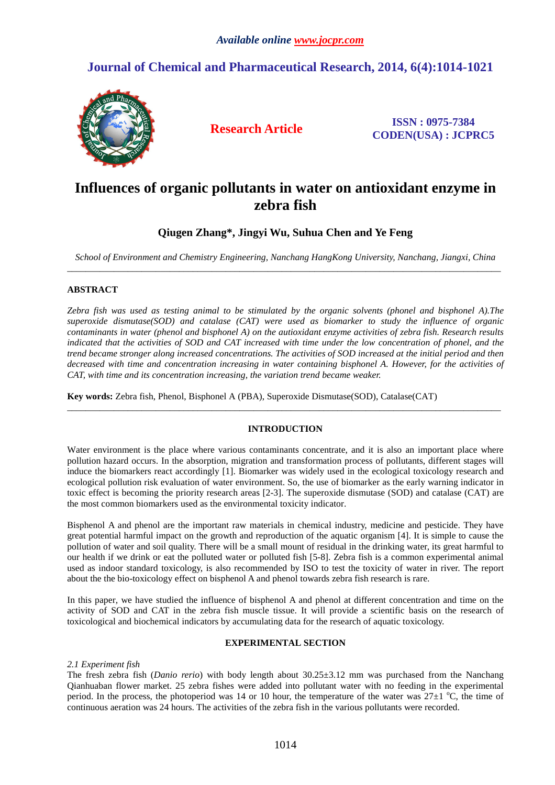# **Journal of Chemical and Pharmaceutical Research, 2014, 6(4):1014-1021**



**Research Article ISSN : 0975-7384 CODEN(USA) : JCPRC5**

# **Influences of organic pollutants in water on antioxidant enzyme in zebra fish**

## **Qiugen Zhang\*, Jingyi Wu, Suhua Chen and Ye Feng**

*School of Environment and Chemistry Engineering, Nanchang HangKong University, Nanchang, Jiangxi, China*  \_\_\_\_\_\_\_\_\_\_\_\_\_\_\_\_\_\_\_\_\_\_\_\_\_\_\_\_\_\_\_\_\_\_\_\_\_\_\_\_\_\_\_\_\_\_\_\_\_\_\_\_\_\_\_\_\_\_\_\_\_\_\_\_\_\_\_\_\_\_\_\_\_\_\_\_\_\_\_\_\_\_\_\_\_\_\_\_\_\_\_\_\_

## **ABSTRACT**

*Zebra fish was used as testing animal to be stimulated by the organic solvents (phonel and bisphonel A).The superoxide dismutase(SOD) and catalase (CAT) were used as biomarker to study the influence of organic contaminants in water (phenol and bisphonel A) on the autioxidant enzyme activities of zebra fish. Research results indicated that the activities of SOD and CAT increased with time under the low concentration of phonel, and the trend became stronger along increased concentrations. The activities of SOD increased at the initial period and then decreased with time and concentration increasing in water containing bisphonel A. However, for the activities of CAT, with time and its concentration increasing, the variation trend became weaker.* 

**Key words:** Zebra fish, Phenol, Bisphonel A (PBA), Superoxide Dismutase(SOD), Catalase(CAT)

## **INTRODUCTION**

\_\_\_\_\_\_\_\_\_\_\_\_\_\_\_\_\_\_\_\_\_\_\_\_\_\_\_\_\_\_\_\_\_\_\_\_\_\_\_\_\_\_\_\_\_\_\_\_\_\_\_\_\_\_\_\_\_\_\_\_\_\_\_\_\_\_\_\_\_\_\_\_\_\_\_\_\_\_\_\_\_\_\_\_\_\_\_\_\_\_\_\_\_

Water environment is the place where various contaminants concentrate, and it is also an important place where pollution hazard occurs. In the absorption, migration and transformation process of pollutants, different stages will induce the biomarkers react accordingly [1]. Biomarker was widely used in the ecological toxicology research and ecological pollution risk evaluation of water environment. So, the use of biomarker as the early warning indicator in toxic effect is becoming the priority research areas [2-3]. The superoxide dismutase (SOD) and catalase (CAT) are the most common biomarkers used as the environmental toxicity indicator.

Bisphenol A and phenol are the important raw materials in chemical industry, medicine and pesticide. They have great potential harmful impact on the growth and reproduction of the aquatic organism [4]. It is simple to cause the pollution of water and soil quality. There will be a small mount of residual in the drinking water, its great harmful to our health if we drink or eat the polluted water or polluted fish [5-8]. Zebra fish is a common experimental animal used as indoor standard toxicology, is also recommended by ISO to test the toxicity of water in river. The report about the the bio-toxicology effect on bisphenol A and phenol towards zebra fish research is rare.

In this paper, we have studied the influence of bisphenol A and phenol at different concentration and time on the activity of SOD and CAT in the zebra fish muscle tissue. It will provide a scientific basis on the research of toxicological and biochemical indicators by accumulating data for the research of aquatic toxicology.

## **EXPERIMENTAL SECTION**

## *2.1 Experiment fish*

The fresh zebra fish (*Danio rerio*) with body length about 30.25±3.12 mm was purchased from the Nanchang Qianhuaban flower market. 25 zebra fishes were added into pollutant water with no feeding in the experimental period. In the process, the photoperiod was 14 or 10 hour, the temperature of the water was  $27\pm1$  °C, the time of continuous aeration was 24 hours. The activities of the zebra fish in the various pollutants were recorded.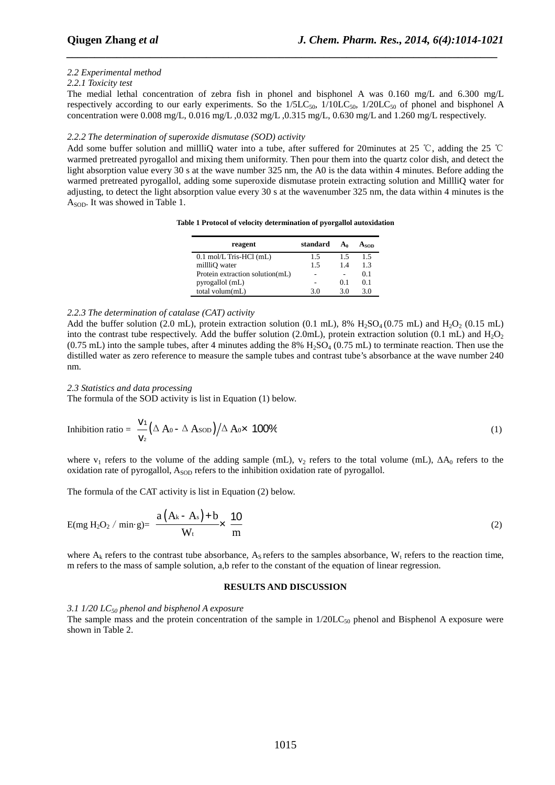## *2.2 Experimental method*

#### *2.2.1 Toxicity test*

The medial lethal concentration of zebra fish in phonel and bisphonel A was 0.160 mg/L and 6.300 mg/L respectively according to our early experiments. So the  $1/5LC_{50}$ ,  $1/10LC_{50}$ ,  $1/20LC_{50}$  of phonel and bisphonel A concentration were 0.008 mg/L, 0.016 mg/L ,0.032 mg/L ,0.315 mg/L, 0.630 mg/L and 1.260 mg/L respectively.

*\_\_\_\_\_\_\_\_\_\_\_\_\_\_\_\_\_\_\_\_\_\_\_\_\_\_\_\_\_\_\_\_\_\_\_\_\_\_\_\_\_\_\_\_\_\_\_\_\_\_\_\_\_\_\_\_\_\_\_\_\_\_\_\_\_\_\_\_\_\_\_\_\_\_\_\_\_*

## *2.2.2 The determination of superoxide dismutase (SOD) activity*

Add some buffer solution and millliQ water into a tube, after suffered for 20minutes at 25 ℃, adding the 25 ℃ warmed pretreated pyrogallol and mixing them uniformity. Then pour them into the quartz color dish, and detect the light absorption value every 30 s at the wave number 325 nm, the A0 is the data within 4 minutes. Before adding the warmed pretreated pyrogallol, adding some superoxide dismutase protein extracting solution and MillliQ water for adjusting, to detect the light absorption value every 30 s at the wavenumber 325 nm, the data within 4 minutes is the A<sub>SOD</sub>. It was showed in Table 1.

|  | Table 1 Protocol of velocity determination of pyorgallol autoxidation |  |
|--|-----------------------------------------------------------------------|--|
|  |                                                                       |  |

| reagent                           | standard | A۵  | Ason |
|-----------------------------------|----------|-----|------|
| $0.1 \text{ mol/L}$ Tris-HCl (mL) | 1.5      | 1.5 | 1.5  |
| milli <sub>O</sub> water          | 1.5      | 14  | 13   |
| Protein extraction solution(mL)   | ۰        |     | 0.1  |
| pyrogallol (mL)                   |          | 0.1 | 0.1  |
| total volum(mL)                   | 30       | 30  | 30   |

## *2.2.3 The determination of catalase (CAT) activity*

Add the buffer solution (2.0 mL), protein extraction solution (0.1 mL), 8%  $H_2SO_4(0.75 \text{ mL})$  and  $H_2O_2(0.15 \text{ mL})$ into the contrast tube respectively. Add the buffer solution (2.0mL), protein extraction solution (0.1 mL) and  $H_2O_2$  $(0.75 \text{ mL})$  into the sample tubes, after 4 minutes adding the 8% H<sub>2</sub>SO<sub>4</sub> (0.75 mL) to terminate reaction. Then use the distilled water as zero reference to measure the sample tubes and contrast tube's absorbance at the wave number 240 nm.

#### *2.3 Statistics and data processing*

The formula of the SOD activity is list in Equation (1) below.

Inhibition ratio = 
$$
\frac{V_1}{V_2} (\Delta A_0 - \Delta A_{SOD}) / \Delta A_0 \times 100\%
$$
 (1)

where v<sub>1</sub> refers to the volume of the adding sample (mL), v<sub>2</sub> refers to the total volume (mL),  $\Delta A_0$  refers to the oxidation rate of pyrogallol,  $A_{\text{SOD}}$  refers to the inhibition oxidation rate of pyrogallol.

The formula of the CAT activity is list in Equation (2) below.

$$
E(mg H2O2 / min·g) = \frac{a(Ak - As) + b}{Wt} \times \frac{10}{m}
$$
 (2)

where  $A_k$  refers to the contrast tube absorbance,  $A_s$  refers to the samples absorbance,  $W_t$  refers to the reaction time, m refers to the mass of sample solution, a,b refer to the constant of the equation of linear regression.

## **RESULTS AND DISCUSSION**

#### *3.1 1/20 LC50 phenol and bisphenol A exposure*

The sample mass and the protein concentration of the sample in  $1/20LC_{50}$  phenol and Bisphenol A exposure were shown in Table 2.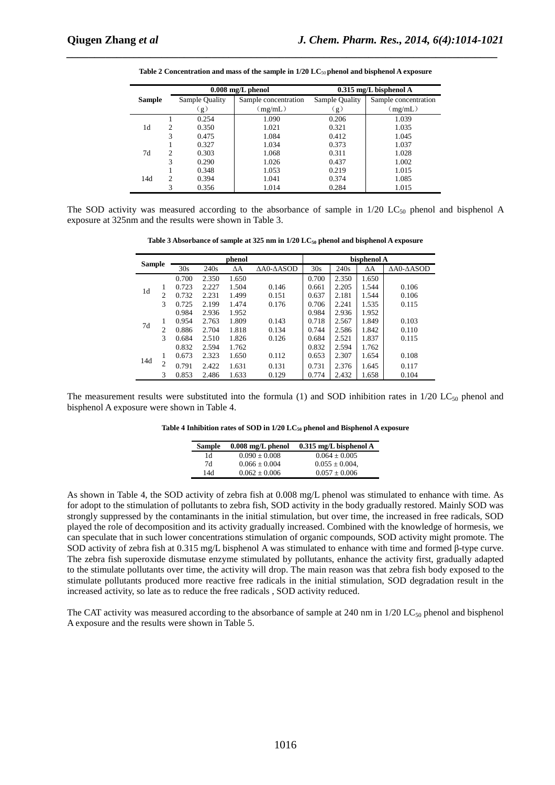|               |                             |                | $0.008$ mg/L phenol  |                | $0.315$ mg/L bisphenol A |
|---------------|-----------------------------|----------------|----------------------|----------------|--------------------------|
| <b>Sample</b> |                             | Sample Quality | Sample concentration | Sample Quality | Sample concentration     |
|               |                             | $\mathbf{g}$ ) | (mg/mL)              | (g)            | (mg/mL)                  |
|               |                             | 0.254          | 1.090                | 0.206          | 1.039                    |
| 1d            | $\mathcal{D}_{\mathcal{A}}$ | 0.350          | 1.021                | 0.321          | 1.035                    |
|               | 3                           | 0.475          | 1.084                | 0.412          | 1.045                    |
|               |                             | 0.327          | 1.034                | 0.373          | 1.037                    |
| 7d            | 2                           | 0.303          | 1.068                | 0.311          | 1.028                    |
|               | 3                           | 0.290          | 1.026                | 0.437          | 1.002                    |
|               |                             | 0.348          | 1.053                | 0.219          | 1.015                    |
| 14d           | $\overline{c}$              | 0.394          | 1.041                | 0.374          | 1.085                    |
|               | 3                           | 0.356          | 1.014                | 0.284          | 1.015                    |

Table 2 Concentration and mass of the sample in 1/20 LC<sub>50</sub> phenol and bisphenol A exposure

*\_\_\_\_\_\_\_\_\_\_\_\_\_\_\_\_\_\_\_\_\_\_\_\_\_\_\_\_\_\_\_\_\_\_\_\_\_\_\_\_\_\_\_\_\_\_\_\_\_\_\_\_\_\_\_\_\_\_\_\_\_\_\_\_\_\_\_\_\_\_\_\_\_\_\_\_\_*

The SOD activity was measured according to the absorbance of sample in  $1/20$  LC<sub>50</sub> phenol and bisphenol A exposure at 325nm and the results were shown in Table 3.

**Table 3 Absorbance of sample at 325 nm in 1/20 LC50 phenol and bisphenol A exposure** 

|     |               |       |       | phenol     |                            | bisphenol A |       |            |                            |
|-----|---------------|-------|-------|------------|----------------------------|-------------|-------|------------|----------------------------|
|     | <b>Sample</b> |       | 240s  | $\Delta A$ | $\Delta$ A0- $\Delta$ ASOD | 30s         | 240s  | $\Delta A$ | $\Delta$ A0- $\Delta$ ASOD |
|     |               | 0.700 | 2.350 | 1.650      |                            | 0.700       | 2.350 | 1.650      |                            |
| 1d  | 1             | 0.723 | 2.227 | 1.504      | 0.146                      | 0.661       | 2.205 | 1.544      | 0.106                      |
|     | 2             | 0.732 | 2.231 | 1.499      | 0.151                      | 0.637       | 2.181 | 1.544      | 0.106                      |
|     | 3             | 0.725 | 2.199 | 1.474      | 0.176                      | 0.706       | 2.241 | 1.535      | 0.115                      |
|     |               | 0.984 | 2.936 | 1.952      |                            | 0.984       | 2.936 | 1.952      |                            |
| 7d  |               | 0.954 | 2.763 | 1.809      | 0.143                      | 0.718       | 2.567 | 1.849      | 0.103                      |
|     | 2             | 0.886 | 2.704 | 1.818      | 0.134                      | 0.744       | 2.586 | 1.842      | 0.110                      |
|     | 3             | 0.684 | 2.510 | 1.826      | 0.126                      | 0.684       | 2.521 | 1.837      | 0.115                      |
|     |               | 0.832 | 2.594 | 1.762      |                            | 0.832       | 2.594 | 1.762      |                            |
|     | 1             | 0.673 | 2.323 | 1.650      | 0.112                      | 0.653       | 2.307 | 1.654      | 0.108                      |
| 14d | 2             | 0.791 | 2.422 | 1.631      | 0.131                      | 0.731       | 2.376 | 1.645      | 0.117                      |
|     | 3             | 0.853 | 2.486 | 1.633      | 0.129                      | 0.774       | 2.432 | 1.658      | 0.104                      |

The measurement results were substituted into the formula (1) and SOD inhibition rates in  $1/20$  LC<sub>50</sub> phenol and bisphenol A exposure were shown in Table 4.

**Table 4 Inhibition rates of SOD in 1/20 LC50 phenol and Bisphenol A exposure** 

| <b>Sample</b> | $0.008$ mg/L phenol | $0.315$ mg/L bisphenol A |
|---------------|---------------------|--------------------------|
| 1d            | $0.090 + 0.008$     | $0.064 \pm 0.005$        |
| 7d            | $0.066 \pm 0.004$   | $0.055 \pm 0.004$ .      |
| 14d           | $0.062 \pm 0.006$   | $0.057 \pm 0.006$        |

As shown in Table 4, the SOD activity of zebra fish at 0.008 mg/L phenol was stimulated to enhance with time. As for adopt to the stimulation of pollutants to zebra fish, SOD activity in the body gradually restored. Mainly SOD was strongly suppressed by the contaminants in the initial stimulation, but over time, the increased in free radicals, SOD played the role of decomposition and its activity gradually increased. Combined with the knowledge of hormesis, we can speculate that in such lower concentrations stimulation of organic compounds, SOD activity might promote. The SOD activity of zebra fish at 0.315 mg/L bisphenol A was stimulated to enhance with time and formed β-type curve. The zebra fish superoxide dismutase enzyme stimulated by pollutants, enhance the activity first, gradually adapted to the stimulate pollutants over time, the activity will drop. The main reason was that zebra fish body exposed to the stimulate pollutants produced more reactive free radicals in the initial stimulation, SOD degradation result in the increased activity, so late as to reduce the free radicals , SOD activity reduced.

The CAT activity was measured according to the absorbance of sample at 240 nm in  $1/20$  LC<sub>50</sub> phenol and bisphenol A exposure and the results were shown in Table 5.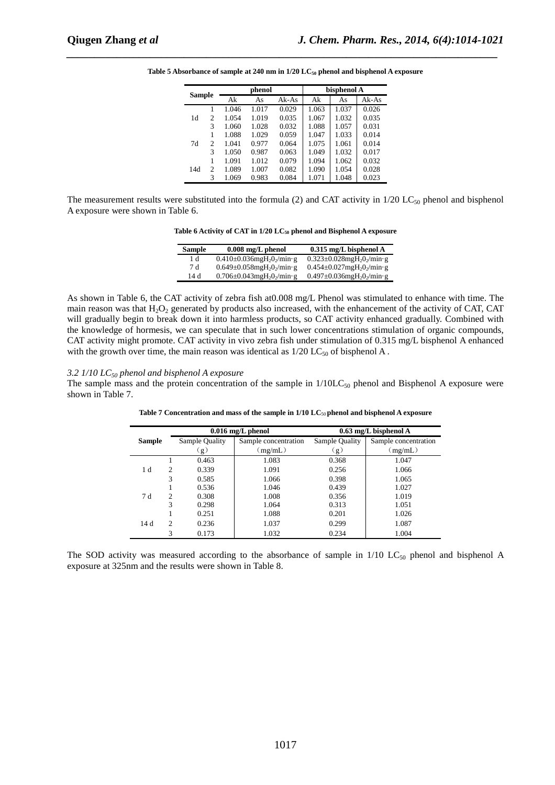|               |                |       | phenol |         |       | bisphenol A |       |  |
|---------------|----------------|-------|--------|---------|-------|-------------|-------|--|
| <b>Sample</b> |                | Ak    | As     | $Ak-As$ | Ak    | As          | Ak-As |  |
|               |                | 1.046 | 1.017  | 0.029   | 1.063 | 1.037       | 0.026 |  |
| 1d            | 2              | 1.054 | 1.019  | 0.035   | 1.067 | 1.032       | 0.035 |  |
|               | 3              | 1.060 | 1.028  | 0.032   | 1.088 | 1.057       | 0.031 |  |
|               |                | 1.088 | 1.029  | 0.059   | 1.047 | 1.033       | 0.014 |  |
| 7d            | $\overline{c}$ | 1.041 | 0.977  | 0.064   | 1.075 | 1.061       | 0.014 |  |
|               | 3              | 1.050 | 0.987  | 0.063   | 1.049 | 1.032       | 0.017 |  |
|               |                | 1.091 | 1.012  | 0.079   | 1.094 | 1.062       | 0.032 |  |
| 14d           | $\overline{c}$ | 1.089 | 1.007  | 0.082   | 1.090 | 1.054       | 0.028 |  |
|               | 3              | 1.069 | 0.983  | 0.084   | 1.071 | 1.048       | 0.023 |  |

**Table 5 Absorbance of sample at 240 nm in 1/20 LC50 phenol and bisphenol A exposure** 

*\_\_\_\_\_\_\_\_\_\_\_\_\_\_\_\_\_\_\_\_\_\_\_\_\_\_\_\_\_\_\_\_\_\_\_\_\_\_\_\_\_\_\_\_\_\_\_\_\_\_\_\_\_\_\_\_\_\_\_\_\_\_\_\_\_\_\_\_\_\_\_\_\_\_\_\_\_*

The measurement results were substituted into the formula (2) and CAT activity in  $1/20$  LC<sub>50</sub> phenol and bisphenol A exposure were shown in Table 6.

| Table 6 Activity of CAT in $1/20$ LC <sub>50</sub> phenol and Bisphenol A exposure |  |  |  |  |  |
|------------------------------------------------------------------------------------|--|--|--|--|--|
|------------------------------------------------------------------------------------|--|--|--|--|--|

| Sample | $0.008$ mg/L phenol                                      | $0.315$ mg/L bisphenol A                                 |
|--------|----------------------------------------------------------|----------------------------------------------------------|
| 1 d    | $0.410\pm0.036$ mgH <sub>2</sub> O <sub>2</sub> /min·g   | $0.323 \pm 0.028$ mgH <sub>2</sub> O <sub>2</sub> /min·g |
| 7 d    | $0.649 \pm 0.058$ mgH <sub>2</sub> 0 <sub>2</sub> /min·g | $0.454 \pm 0.027$ mgH <sub>2</sub> O <sub>2</sub> /min·g |
| 14 d   | $0.706 \pm 0.043$ mgH <sub>2</sub> O <sub>2</sub> /min·g | $0.497 \pm 0.036$ mgH <sub>2</sub> O <sub>2</sub> /min·g |

As shown in Table 6, the CAT activity of zebra fish at0.008 mg/L Phenol was stimulated to enhance with time. The main reason was that  $H_2O_2$  generated by products also increased, with the enhancement of the activity of CAT, CAT will gradually begin to break down it into harmless products, so CAT activity enhanced gradually. Combined with the knowledge of hormesis, we can speculate that in such lower concentrations stimulation of organic compounds, CAT activity might promote. CAT activity in vivo zebra fish under stimulation of 0.315 mg/L bisphenol A enhanced with the growth over time, the main reason was identical as  $1/20$  LC<sub>50</sub> of bisphenol A.

#### *3.2 1/10 LC50 phenol and bisphenol A exposure*

The sample mass and the protein concentration of the sample in  $1/10LC_{50}$  phenol and Bisphenol A exposure were shown in Table 7.

|               |                |                | $0.016$ mg/L phenol  | $0.63$ mg/L bisphenol A |                      |  |
|---------------|----------------|----------------|----------------------|-------------------------|----------------------|--|
| <b>Sample</b> |                | Sample Quality | Sample concentration | Sample Quality          | Sample concentration |  |
|               |                | (g)            | (mg/mL)              | (g)                     | (mg/mL)              |  |
|               |                | 0.463          | 1.083                | 0.368                   | 1.047                |  |
| 1 d           | $\mathfrak{D}$ | 0.339          | 1.091                | 0.256                   | 1.066                |  |
|               | 3              | 0.585          | 1.066                | 0.398                   | 1.065                |  |
|               |                | 0.536          | 1.046                | 0.439                   | 1.027                |  |
| 7 d           | $\mathcal{D}$  | 0.308          | 1.008                | 0.356                   | 1.019                |  |
|               | 3              | 0.298          | 1.064                | 0.313                   | 1.051                |  |
|               |                | 0.251          | 1.088                | 0.201                   | 1.026                |  |
| 14 d          | $\mathfrak{D}$ | 0.236          | 1.037                | 0.299                   | 1.087                |  |
|               | 3              | 0.173          | 1.032                | 0.234                   | 1.004                |  |

**Table 7 Concentration and mass of the sample in 1/10 LC**50 **phenol and bisphenol A exposure** 

The SOD activity was measured according to the absorbance of sample in  $1/10$  LC<sub>50</sub> phenol and bisphenol A exposure at 325nm and the results were shown in Table 8.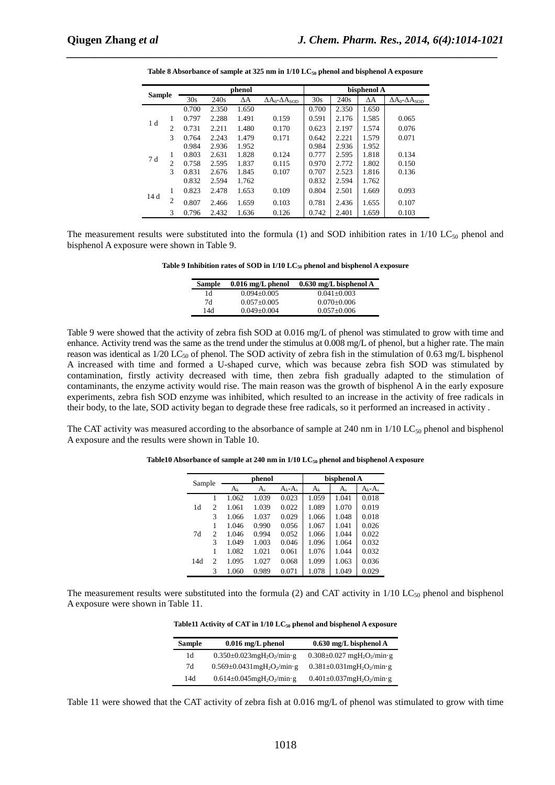|               |                |       |       | phenol     |                                 |       |       | bisphenol A |                               |
|---------------|----------------|-------|-------|------------|---------------------------------|-------|-------|-------------|-------------------------------|
| <b>Sample</b> |                | 30s   | 240s  | $\Delta A$ | $\Delta A_0$ - $\Delta A_{SOD}$ | 30s   | 240s  | $\Delta A$  | $\Delta A_0 - \Delta A_{SOD}$ |
|               |                | 0.700 | 2.350 | 1.650      |                                 | 0.700 | 2.350 | 1.650       |                               |
|               | 1              | 0.797 | 2.288 | 1.491      | 0.159                           | 0.591 | 2.176 | 1.585       | 0.065                         |
| 1 d           | $\overline{c}$ | 0.731 | 2.211 | 1.480      | 0.170                           | 0.623 | 2.197 | 1.574       | 0.076                         |
|               | 3              | 0.764 | 2.243 | 1.479      | 0.171                           | 0.642 | 2.221 | 1.579       | 0.071                         |
|               |                | 0.984 | 2.936 | 1.952      |                                 | 0.984 | 2.936 | 1.952       |                               |
| 7d            | 1              | 0.803 | 2.631 | 1.828      | 0.124                           | 0.777 | 2.595 | 1.818       | 0.134                         |
|               | $\overline{c}$ | 0.758 | 2.595 | 1.837      | 0.115                           | 0.970 | 2.772 | 1.802       | 0.150                         |
|               | 3              | 0.831 | 2.676 | 1.845      | 0.107                           | 0.707 | 2.523 | 1.816       | 0.136                         |
|               |                | 0.832 | 2.594 | 1.762      |                                 | 0.832 | 2.594 | 1.762       |                               |
|               | 1              | 0.823 | 2.478 | 1.653      | 0.109                           | 0.804 | 2.501 | 1.669       | 0.093                         |
| 14 d          | $\overline{c}$ | 0.807 | 2.466 | 1.659      | 0.103                           | 0.781 | 2.436 | 1.655       | 0.107                         |
|               | 3              | 0.796 | 2.432 | 1.636      | 0.126                           | 0.742 | 2.401 | 1.659       | 0.103                         |

| Table 8 Absorbance of sample at 325 nm in $1/10$ LC <sub>50</sub> phenol and bisphenol A exposure |  |  |  |
|---------------------------------------------------------------------------------------------------|--|--|--|
|---------------------------------------------------------------------------------------------------|--|--|--|

*\_\_\_\_\_\_\_\_\_\_\_\_\_\_\_\_\_\_\_\_\_\_\_\_\_\_\_\_\_\_\_\_\_\_\_\_\_\_\_\_\_\_\_\_\_\_\_\_\_\_\_\_\_\_\_\_\_\_\_\_\_\_\_\_\_\_\_\_\_\_\_\_\_\_\_\_\_*

The measurement results were substituted into the formula (1) and SOD inhibition rates in  $1/10$  LC<sub>50</sub> phenol and bisphenol A exposure were shown in Table 9.

**Table 9 Inhibition rates of SOD in 1/10 LC50 phenol and bisphenol A exposure** 

| <b>Sample</b> | $0.016$ mg/L phenol | $0.630$ mg/L bisphenol A |
|---------------|---------------------|--------------------------|
| 1d            | $0.094 + 0.005$     | $0.041 + 0.003$          |
| 7d            | $0.057 + 0.005$     | $0.070 + 0.006$          |
| 14d           | $0.049 + 0.004$     | $0.057 \pm 0.006$        |

Table 9 were showed that the activity of zebra fish SOD at 0.016 mg/L of phenol was stimulated to grow with time and enhance. Activity trend was the same as the trend under the stimulus at 0.008 mg/L of phenol, but a higher rate. The main reason was identical as  $1/20$  LC<sub>50</sub> of phenol. The SOD activity of zebra fish in the stimulation of 0.63 mg/L bisphenol A increased with time and formed a U-shaped curve, which was because zebra fish SOD was stimulated by contamination, firstly activity decreased with time, then zebra fish gradually adapted to the stimulation of contaminants, the enzyme activity would rise. The main reason was the growth of bisphenol A in the early exposure experiments, zebra fish SOD enzyme was inhibited, which resulted to an increase in the activity of free radicals in their body, to the late, SOD activity began to degrade these free radicals, so it performed an increased in activity .

The CAT activity was measured according to the absorbance of sample at 240 nm in  $1/10$  LC<sub>50</sub> phenol and bisphenol A exposure and the results were shown in Table 10.

| Sample |                | phenol  |         |             | bisphenol A |         |             |
|--------|----------------|---------|---------|-------------|-------------|---------|-------------|
|        |                | $A_{k}$ | $A_{s}$ | $A_k - A_s$ | $A_{k}$     | $A_{s}$ | $A_k - A_s$ |
|        |                | 1.062   | 1.039   | 0.023       | 1.059       | 1.041   | 0.018       |
| 1d     | 2              | 1.061   | 1.039   | 0.022       | 1.089       | 1.070   | 0.019       |
|        | 3              | 1.066   | 1.037   | 0.029       | 1.066       | 1.048   | 0.018       |
|        |                | 1.046   | 0.990   | 0.056       | 1.067       | 1.041   | 0.026       |
| 7d     | $\mathfrak{D}$ | 1.046   | 0.994   | 0.052       | 1.066       | 1.044   | 0.022       |
|        | 3              | 1.049   | 1.003   | 0.046       | 1.096       | 1.064   | 0.032       |
|        |                | 1.082   | 1.021   | 0.061       | 1.076       | 1.044   | 0.032       |
| 14d    | 2              | 1.095   | 1.027   | 0.068       | 1.099       | 1.063   | 0.036       |
|        | 3              | 1.060   | 0.989   | 0.071       | 1.078       | 1.049   | 0.029       |

**Table10 Absorbance of sample at 240 nm in 1/10 LC50 phenol and bisphenol A exposure** 

The measurement results were substituted into the formula (2) and CAT activity in  $1/10$  LC<sub>50</sub> phenol and bisphenol A exposure were shown in Table 11.

**Table11 Activity of CAT in 1/10 LC50 phenol and bisphenol A exposure** 

| <b>Sample</b> | $0.016$ mg/L phenol                                       | $0.630$ mg/L bisphenol A                                 |
|---------------|-----------------------------------------------------------|----------------------------------------------------------|
| 1d            | $0.350\pm0.023$ mgH <sub>2</sub> O <sub>2</sub> /min·g    | $0.308 \pm 0.027$ mgH <sub>2</sub> O <sub>2</sub> /min·g |
| 7d            | $0.569 \pm 0.0431$ mgH <sub>2</sub> O <sub>2</sub> /min·g | $0.381 \pm 0.031$ mgH <sub>2</sub> O <sub>2</sub> /min·g |
| 14d           | $0.614 \pm 0.045$ mgH <sub>2</sub> O <sub>2</sub> /min·g  | $0.401 \pm 0.037$ mgH <sub>2</sub> O <sub>2</sub> /min·g |

Table 11 were showed that the CAT activity of zebra fish at 0.016 mg/L of phenol was stimulated to grow with time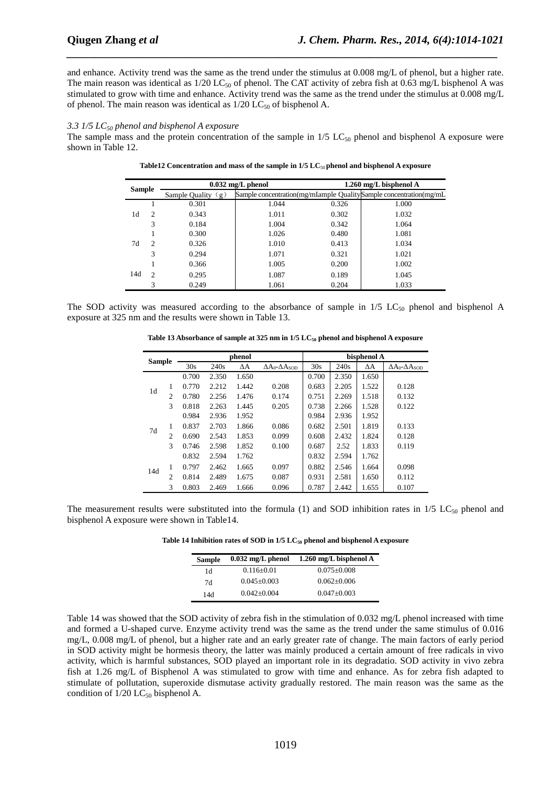and enhance. Activity trend was the same as the trend under the stimulus at 0.008 mg/L of phenol, but a higher rate. The main reason was identical as  $1/20$  LC<sub>50</sub> of phenol. The CAT activity of zebra fish at 0.63 mg/L bisphenol A was stimulated to grow with time and enhance. Activity trend was the same as the trend under the stimulus at 0.008 mg/L of phenol. The main reason was identical as  $1/20$  LC<sub>50</sub> of bisphenol A.

*\_\_\_\_\_\_\_\_\_\_\_\_\_\_\_\_\_\_\_\_\_\_\_\_\_\_\_\_\_\_\_\_\_\_\_\_\_\_\_\_\_\_\_\_\_\_\_\_\_\_\_\_\_\_\_\_\_\_\_\_\_\_\_\_\_\_\_\_\_\_\_\_\_\_\_\_\_*

#### *3.3 1/5 LC50 phenol and bisphenol A exposure*

The sample mass and the protein concentration of the sample in  $1/5$  LC<sub>50</sub> phenol and bisphenol A exposure were shown in Table 12.

|               |                |                       | $0.032$ mg/L phenol | $1.260$ mg/L bisphenol A |                                                                   |  |
|---------------|----------------|-----------------------|---------------------|--------------------------|-------------------------------------------------------------------|--|
| <b>Sample</b> |                | Sample Quality<br>(g) |                     |                          | Sample concentration(mg/mIample QualitySample concentration(mg/mL |  |
|               |                | 0.301                 | 1.044               | 0.326                    | 1.000                                                             |  |
| 1d            | $\overline{c}$ | 0.343                 | 1.011               | 0.302                    | 1.032                                                             |  |
|               | 3              | 0.184                 | 1.004               | 0.342                    | 1.064                                                             |  |
|               |                | 0.300                 | 1.026               | 0.480                    | 1.081                                                             |  |
| 7d            | 2              | 0.326                 | 1.010               | 0.413                    | 1.034                                                             |  |
|               | 3              | 0.294                 | 1.071               | 0.321                    | 1.021                                                             |  |
|               |                | 0.366                 | 1.005               | 0.200                    | 1.002                                                             |  |
| 14d           | $\mathcal{L}$  | 0.295                 | 1.087               | 0.189                    | 1.045                                                             |  |
|               | 3              | 0.249                 | 1.061               | 0.204                    | 1.033                                                             |  |

Table12 Concentration and mass of the sample in  $1/5$  LC<sub>50</sub> phenol and bisphenol A exposure

The SOD activity was measured according to the absorbance of sample in  $1/5$  LC<sub>50</sub> phenol and bisphenol A exposure at 325 nm and the results were shown in Table 13.

| <b>Sample</b> |                | phenol |       |       |                                          | bisphenol A |       |            |                                 |
|---------------|----------------|--------|-------|-------|------------------------------------------|-------------|-------|------------|---------------------------------|
|               |                | 30s    | 240s  | ΔΑ    | $\Delta A_0$ - $\Delta A$ <sub>sop</sub> | 30s         | 240s  | $\Delta A$ | $\Delta A_0$ - $\Delta A_{SOD}$ |
|               |                | 0.700  | 2.350 | 1.650 |                                          | 0.700       | 2.350 | 1.650      |                                 |
|               | 1              | 0.770  | 2.212 | 1.442 | 0.208                                    | 0.683       | 2.205 | 1.522      | 0.128                           |
| 1d            | $\overline{c}$ | 0.780  | 2.256 | 1.476 | 0.174                                    | 0.751       | 2.269 | 1.518      | 0.132                           |
|               | 3              | 0.818  | 2.263 | 1.445 | 0.205                                    | 0.738       | 2.266 | 1.528      | 0.122                           |
|               |                | 0.984  | 2.936 | 1.952 |                                          | 0.984       | 2.936 | 1.952      |                                 |
| 7d            | 1              | 0.837  | 2.703 | 1.866 | 0.086                                    | 0.682       | 2.501 | 1.819      | 0.133                           |
|               | $\overline{c}$ | 0.690  | 2.543 | 1.853 | 0.099                                    | 0.608       | 2.432 | 1.824      | 0.128                           |
|               | 3              | 0.746  | 2.598 | 1.852 | 0.100                                    | 0.687       | 2.52  | 1.833      | 0.119                           |
|               |                | 0.832  | 2.594 | 1.762 |                                          | 0.832       | 2.594 | 1.762      |                                 |
| 14d           | 1              | 0.797  | 2.462 | 1.665 | 0.097                                    | 0.882       | 2.546 | 1.664      | 0.098                           |
|               | $\overline{c}$ | 0.814  | 2.489 | 1.675 | 0.087                                    | 0.931       | 2.581 | 1.650      | 0.112                           |
|               | 3              | 0.803  | 2.469 | 1.666 | 0.096                                    | 0.787       | 2.442 | 1.655      | 0.107                           |

Table 13 Absorbance of sample at 325 nm in 1/5 LC<sub>50</sub> phenol and bisphenol A exposure

The measurement results were substituted into the formula (1) and SOD inhibition rates in  $1/5$  LC<sub>50</sub> phenol and bisphenol A exposure were shown in Table14.

**Table 14 Inhibition rates of SOD in 1/5 LC50 phenol and bisphenol A exposure** 

| <b>Sample</b> | $0.032$ mg/L phenol | 1.260 mg/L bisphenol A |
|---------------|---------------------|------------------------|
| 1d            | $0.116 \pm 0.01$    | $0.075 \pm 0.008$      |
| 7d            | $0.045 \pm 0.003$   | $0.062 \pm 0.006$      |
| 14d           | $0.042 \pm 0.004$   | $0.047 + 0.003$        |

Table 14 was showed that the SOD activity of zebra fish in the stimulation of 0.032 mg/L phenol increased with time and formed a U-shaped curve. Enzyme activity trend was the same as the trend under the same stimulus of 0.016 mg/L, 0.008 mg/L of phenol, but a higher rate and an early greater rate of change. The main factors of early period in SOD activity might be hormesis theory, the latter was mainly produced a certain amount of free radicals in vivo activity, which is harmful substances, SOD played an important role in its degradatio. SOD activity in vivo zebra fish at 1.26 mg/L of Bisphenol A was stimulated to grow with time and enhance. As for zebra fish adapted to stimulate of pollutation, superoxide dismutase activity gradually restored. The main reason was the same as the condition of  $1/20$  LC<sub>50</sub> bisphenol A.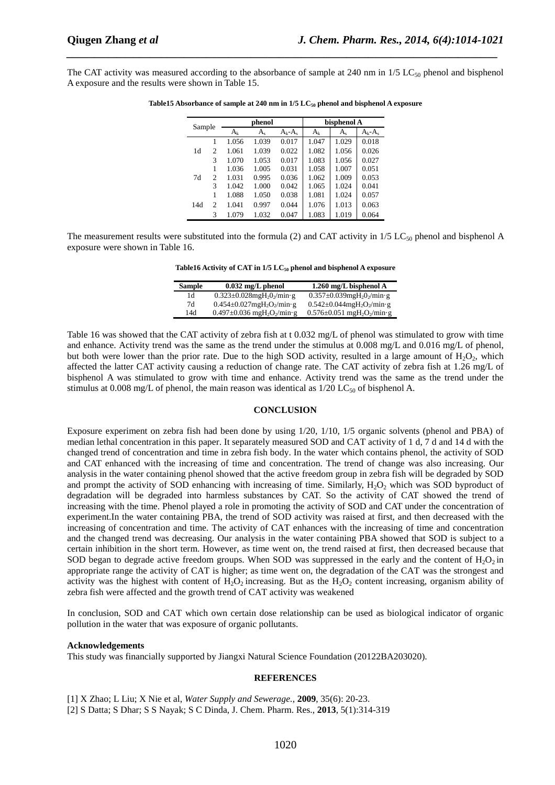The CAT activity was measured according to the absorbance of sample at 240 nm in  $1/5$  LC<sub>50</sub> phenol and bisphenol A exposure and the results were shown in Table 15.

*\_\_\_\_\_\_\_\_\_\_\_\_\_\_\_\_\_\_\_\_\_\_\_\_\_\_\_\_\_\_\_\_\_\_\_\_\_\_\_\_\_\_\_\_\_\_\_\_\_\_\_\_\_\_\_\_\_\_\_\_\_\_\_\_\_\_\_\_\_\_\_\_\_\_\_\_\_*

| Sample |                             |         | phenol  |             |         | bisphenol A |             |  |
|--------|-----------------------------|---------|---------|-------------|---------|-------------|-------------|--|
|        |                             | $A_{k}$ | $A_{s}$ | $A_k - A_s$ | $A_{k}$ | $A_{s}$     | $A_k - A_s$ |  |
|        |                             | 1.056   | 1.039   | 0.017       | 1.047   | 1.029       | 0.018       |  |
| 1d     | 2                           | 1.061   | 1.039   | 0.022       | 1.082   | 1.056       | 0.026       |  |
|        | 3                           | 1.070   | 1.053   | 0.017       | 1.083   | 1.056       | 0.027       |  |
|        |                             | 1.036   | 1.005   | 0.031       | 1.058   | 1.007       | 0.051       |  |
| 7d     | $\mathfrak{D}$              | 1.031   | 0.995   | 0.036       | 1.062   | 1.009       | 0.053       |  |
|        | 3                           | 1.042   | 1.000   | 0.042       | 1.065   | 1.024       | 0.041       |  |
|        |                             | 1.088   | 1.050   | 0.038       | 1.081   | 1.024       | 0.057       |  |
| 14d    | $\mathcal{D}_{\mathcal{L}}$ | 1.041   | 0.997   | 0.044       | 1.076   | 1.013       | 0.063       |  |
|        | 3                           | 1.079   | 1.032   | 0.047       | 1.083   | 1.019       | 0.064       |  |

**Table15 Absorbance of sample at 240 nm in 1/5 LC50 phenol and bisphenol A exposure** 

The measurement results were substituted into the formula (2) and CAT activity in  $1/5$  LC<sub>50</sub> phenol and bisphenol A exposure were shown in Table 16.

**Table16 Activity of CAT in 1/5 LC50 phenol and bisphenol A exposure** 

| Sample | $0.032$ mg/L phenol                                      | 1.260 mg/L bisphenol A                                   |
|--------|----------------------------------------------------------|----------------------------------------------------------|
| 1d     | $0.323 \pm 0.028$ mgH <sub>2</sub> O <sub>2</sub> /min·g | $0.357 \pm 0.039$ mgH <sub>2</sub> $0_2$ /min·g          |
| 7d     | $0.454 \pm 0.027$ mgH <sub>2</sub> O <sub>2</sub> /min·g | $0.542 \pm 0.044$ mgH <sub>2</sub> O <sub>2</sub> /min·g |
| 14d    | $0.497 \pm 0.036$ mgH <sub>2</sub> O <sub>2</sub> /min·g | $0.576 \pm 0.051$ mgH <sub>2</sub> O <sub>2</sub> /min·g |

Table 16 was showed that the CAT activity of zebra fish at t 0.032 mg/L of phenol was stimulated to grow with time and enhance. Activity trend was the same as the trend under the stimulus at 0.008 mg/L and 0.016 mg/L of phenol, but both were lower than the prior rate. Due to the high SOD activity, resulted in a large amount of  $H_2O_2$ , which affected the latter CAT activity causing a reduction of change rate. The CAT activity of zebra fish at 1.26 mg/L of bisphenol A was stimulated to grow with time and enhance. Activity trend was the same as the trend under the stimulus at 0.008 mg/L of phenol, the main reason was identical as  $1/20$  LC<sub>50</sub> of bisphenol A.

#### **CONCLUSION**

Exposure experiment on zebra fish had been done by using 1/20, 1/10, 1/5 organic solvents (phenol and PBA) of median lethal concentration in this paper. It separately measured SOD and CAT activity of 1 d, 7 d and 14 d with the changed trend of concentration and time in zebra fish body. In the water which contains phenol, the activity of SOD and CAT enhanced with the increasing of time and concentration. The trend of change was also increasing. Our analysis in the water containing phenol showed that the active freedom group in zebra fish will be degraded by SOD and prompt the activity of SOD enhancing with increasing of time. Similarly,  $H_2O_2$  which was SOD byproduct of degradation will be degraded into harmless substances by CAT. So the activity of CAT showed the trend of increasing with the time. Phenol played a role in promoting the activity of SOD and CAT under the concentration of experiment.In the water containing PBA, the trend of SOD activity was raised at first, and then decreased with the increasing of concentration and time. The activity of CAT enhances with the increasing of time and concentration and the changed trend was decreasing. Our analysis in the water containing PBA showed that SOD is subject to a certain inhibition in the short term. However, as time went on, the trend raised at first, then decreased because that SOD began to degrade active freedom groups. When SOD was suppressed in the early and the content of  $H_2O_2$  in appropriate range the activity of CAT is higher; as time went on, the degradation of the CAT was the strongest and activity was the highest with content of H<sub>2</sub>O<sub>2</sub> increasing. But as the H<sub>2</sub>O<sub>2</sub> content increasing, organism ability of zebra fish were affected and the growth trend of CAT activity was weakened

In conclusion, SOD and CAT which own certain dose relationship can be used as biological indicator of organic pollution in the water that was exposure of organic pollutants.

#### **Acknowledgements**

This study was financially supported by Jiangxi Natural Science Foundation (20122BA203020).

#### **REFERENCES**

[1] X Zhao; L Liu; X Nie et al, *Water Supply and Sewerage.*, **2009**, 35(6): 20-23.

[2] S Datta; S Dhar; S S Nayak; S C Dinda, J. Chem. Pharm. Res., **2013**, 5(1):314-319